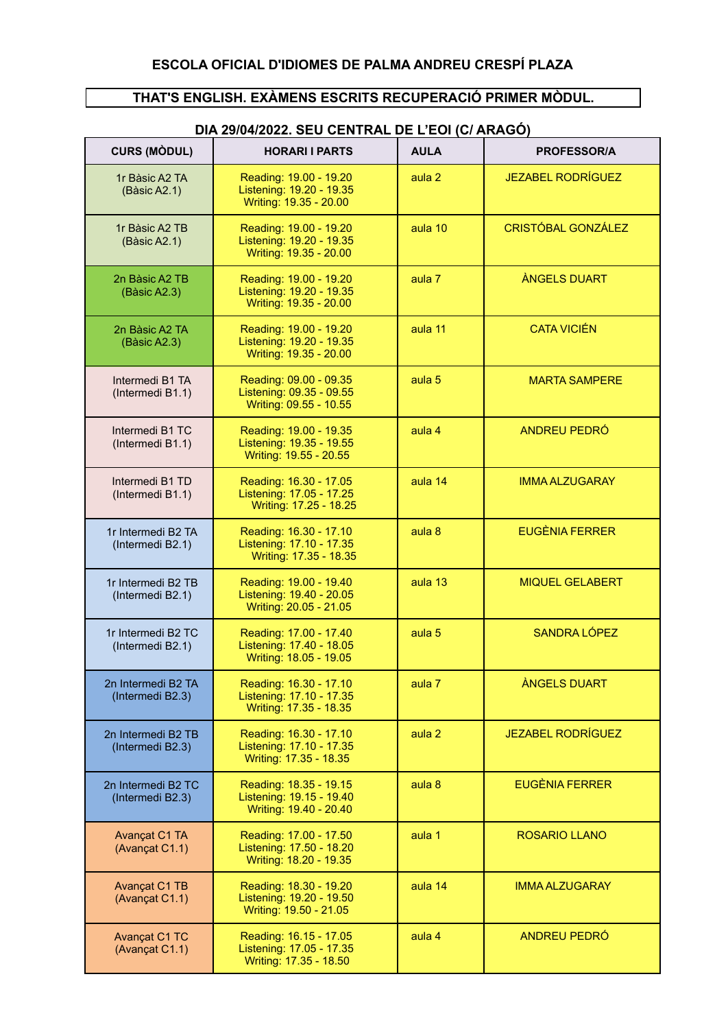#### **THAT'S ENGLISH. EXÀMENS ESCRITS RECUPERACIÓ PRIMER MÒDUL.**

| <b>CURS (MODUL)</b>                    | <b>HORARI I PARTS</b>                                                        | <b>AULA</b>       | <b>PROFESSOR/A</b>        |
|----------------------------------------|------------------------------------------------------------------------------|-------------------|---------------------------|
| 1r Bàsic A2 TA<br>(Bàsic A2.1)         | Reading: 19.00 - 19.20<br>Listening: 19.20 - 19.35<br>Writing: 19.35 - 20.00 | aula <sub>2</sub> | <b>JEZABEL RODRÍGUEZ</b>  |
| 1r Bàsic A2 TB<br>(Bàsic A2.1)         | Reading: 19.00 - 19.20<br>Listening: 19.20 - 19.35<br>Writing: 19.35 - 20.00 | aula 10           | <b>CRISTÓBAL GONZÁLEZ</b> |
| 2n Bàsic A2 TB<br>(Bàsic A2.3)         | Reading: 19.00 - 19.20<br>Listening: 19.20 - 19.35<br>Writing: 19.35 - 20.00 | aula 7            | <b>ANGELS DUART</b>       |
| 2n Bàsic A2 TA<br>(Bàsic A2.3)         | Reading: 19.00 - 19.20<br>Listening: 19.20 - 19.35<br>Writing: 19.35 - 20.00 | aula 11           | <b>CATA VICIÉN</b>        |
| Intermedi B1 TA<br>(Intermedi B1.1)    | Reading: 09.00 - 09.35<br>Listening: 09.35 - 09.55<br>Writing: 09.55 - 10.55 | aula <sub>5</sub> | <b>MARTA SAMPERE</b>      |
| Intermedi B1 TC<br>(Intermedi B1.1)    | Reading: 19.00 - 19.35<br>Listening: 19.35 - 19.55<br>Writing: 19.55 - 20.55 | aula 4            | ANDREU PEDRÓ              |
| Intermedi B1 TD<br>(Intermedi B1.1)    | Reading: 16.30 - 17.05<br>Listening: 17.05 - 17.25<br>Writing: 17.25 - 18.25 | aula 14           | <b>IMMA ALZUGARAY</b>     |
| 1r Intermedi B2 TA<br>(Intermedi B2.1) | Reading: 16.30 - 17.10<br>Listening: 17.10 - 17.35<br>Writing: 17.35 - 18.35 | aula 8            | <b>EUGÈNIA FERRER</b>     |
| 1r Intermedi B2 TB<br>(Intermedi B2.1) | Reading: 19.00 - 19.40<br>Listening: 19.40 - 20.05<br>Writing: 20.05 - 21.05 | aula 13           | <b>MIQUEL GELABERT</b>    |
| 1r Intermedi B2 TC<br>(Intermedi B2.1) | Reading: 17.00 - 17.40<br>Listening: 17.40 - 18.05<br>Writing: 18.05 - 19.05 | aula <sub>5</sub> | SANDRA LÓPEZ              |
| 2n Intermedi B2 TA<br>(Intermedi B2.3) | Reading: 16.30 - 17.10<br>Listening: 17.10 - 17.35<br>Writing: 17.35 - 18.35 | aula 7            | <b>ÀNGELS DUART</b>       |
| 2n Intermedi B2 TB<br>(Intermedi B2.3) | Reading: 16.30 - 17.10<br>Listening: 17.10 - 17.35<br>Writing: 17.35 - 18.35 | aula <sub>2</sub> | <b>JEZABEL RODRÍGUEZ</b>  |
| 2n Intermedi B2 TC<br>(Intermedi B2.3) | Reading: 18.35 - 19.15<br>Listening: 19.15 - 19.40<br>Writing: 19.40 - 20.40 | aula 8            | <b>EUGÈNIA FERRER</b>     |
| <b>Avançat C1 TA</b><br>(Avançat C1.1) | Reading: 17.00 - 17.50<br>Listening: 17.50 - 18.20<br>Writing: 18.20 - 19.35 | aula 1            | <b>ROSARIO LLANO</b>      |
| Avançat C1 TB<br>(Avançat C1.1)        | Reading: 18.30 - 19.20<br>Listening: 19.20 - 19.50<br>Writing: 19.50 - 21.05 | aula 14           | <b>IMMA ALZUGARAY</b>     |
| Avançat C1 TC<br>(Avançat C1.1)        | Reading: 16.15 - 17.05<br>Listening: 17.05 - 17.35<br>Writing: 17.35 - 18.50 | aula 4            | ANDREU PEDRÓ              |

## **DIA 29/04/2022. SEU CENTRAL DE L'EOI (C/ ARAGÓ)**